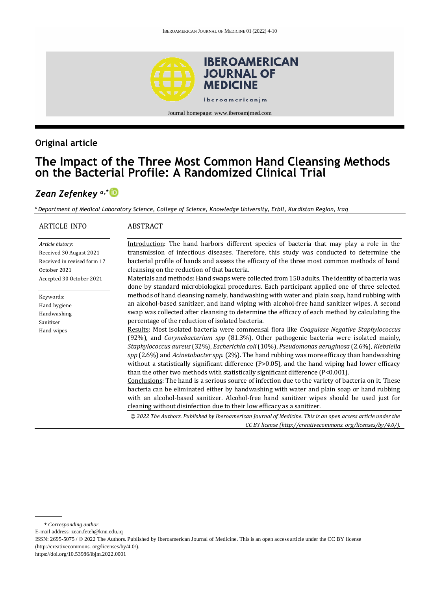

# **Original article**

# **The Impact of the Three Most Common Hand Cleansing Methods on the Bacterial Profile: A Randomized Clinical Trial**

# *Zean Zefenkey a,\**

*<sup>a</sup>Department of Medical Laboratory Science, College of Science, Knowledge University, Erbil, Kurdistan Region, Iraq*

| ARTICLE INFO                | <b>ABSTRACT</b>                                                                                                                                                                                                                                                                                                                                                                                                                                                                                                                                                                                                                                                                                                                                                                                                                                                                                                                                                               |
|-----------------------------|-------------------------------------------------------------------------------------------------------------------------------------------------------------------------------------------------------------------------------------------------------------------------------------------------------------------------------------------------------------------------------------------------------------------------------------------------------------------------------------------------------------------------------------------------------------------------------------------------------------------------------------------------------------------------------------------------------------------------------------------------------------------------------------------------------------------------------------------------------------------------------------------------------------------------------------------------------------------------------|
| Article history:            | Introduction: The hand harbors different species of bacteria that may play a role in the                                                                                                                                                                                                                                                                                                                                                                                                                                                                                                                                                                                                                                                                                                                                                                                                                                                                                      |
| Received 30 August 2021     | transmission of infectious diseases. Therefore, this study was conducted to determine the                                                                                                                                                                                                                                                                                                                                                                                                                                                                                                                                                                                                                                                                                                                                                                                                                                                                                     |
| Received in revised form 17 | bacterial profile of hands and assess the efficacy of the three most common methods of hand                                                                                                                                                                                                                                                                                                                                                                                                                                                                                                                                                                                                                                                                                                                                                                                                                                                                                   |
| October 2021                | cleansing on the reduction of that bacteria.                                                                                                                                                                                                                                                                                                                                                                                                                                                                                                                                                                                                                                                                                                                                                                                                                                                                                                                                  |
| Accepted 30 October 2021    | Materials and methods: Hand swaps were collected from 150 adults. The identity of bacteria was<br>done by standard microbiological procedures. Each participant applied one of three selected                                                                                                                                                                                                                                                                                                                                                                                                                                                                                                                                                                                                                                                                                                                                                                                 |
| Keywords:                   | methods of hand cleansing namely, handwashing with water and plain soap, hand rubbing with                                                                                                                                                                                                                                                                                                                                                                                                                                                                                                                                                                                                                                                                                                                                                                                                                                                                                    |
| Hand hygiene                | an alcohol-based sanitizer, and hand wiping with alcohol-free hand sanitizer wipes. A second                                                                                                                                                                                                                                                                                                                                                                                                                                                                                                                                                                                                                                                                                                                                                                                                                                                                                  |
| Handwashing                 | swap was collected after cleansing to determine the efficacy of each method by calculating the                                                                                                                                                                                                                                                                                                                                                                                                                                                                                                                                                                                                                                                                                                                                                                                                                                                                                |
| Sanitizer                   | percentage of the reduction of isolated bacteria.                                                                                                                                                                                                                                                                                                                                                                                                                                                                                                                                                                                                                                                                                                                                                                                                                                                                                                                             |
| Hand wipes                  | Results: Most isolated bacteria were commensal flora like Coagulase Negative Staphylococcus<br>(92%), and <i>Corynebacterium spp</i> (81.3%). Other pathogenic bacteria were isolated mainly,<br>Staphylococcus aureus (32%), Escherichia coli (10%), Pseudomonas aeruginosa (2.6%), Klebsiella<br>$spp$ (2.6%) and <i>Acinetobacter spp.</i> (2%). The hand rubbing was more efficacy than handwashing<br>without a statistically significant difference (P>0.05), and the hand wiping had lower efficacy<br>than the other two methods with statistically significant difference $(P<0.001)$ .<br>Conclusions: The hand is a serious source of infection due to the variety of bacteria on it. These<br>bacteria can be eliminated either by handwashing with water and plain soap or hand rubbing<br>with an alcohol-based sanitizer. Alcohol-free hand sanitizer wipes should be used just for<br>cleaning without disinfection due to their low efficacy as a sanitizer. |
|                             | © 2022 The Authors. Published by Iberoamerican Journal of Medicine. This is an open access article under the                                                                                                                                                                                                                                                                                                                                                                                                                                                                                                                                                                                                                                                                                                                                                                                                                                                                  |
|                             | CC BY license (http://creativecommons.org/licenses/by/4.0/).                                                                                                                                                                                                                                                                                                                                                                                                                                                                                                                                                                                                                                                                                                                                                                                                                                                                                                                  |

\* *Corresponding author.*

E-mail address: [zean.feteh@knu.edu.iq](mailto:zean.feteh@knu.edu.iq)

ISSN: 2695-5075 / © 2022 The Authors. Published by Iberoamerican Journal of Medicine. This is an open access article under the CC BY license (http:/[/creativecommons. org/licenses/by/4.0/\).](https://creativecommons.org/licenses/by/4.0/)

<https://doi.org/10.53986/ibjm.2022.0001>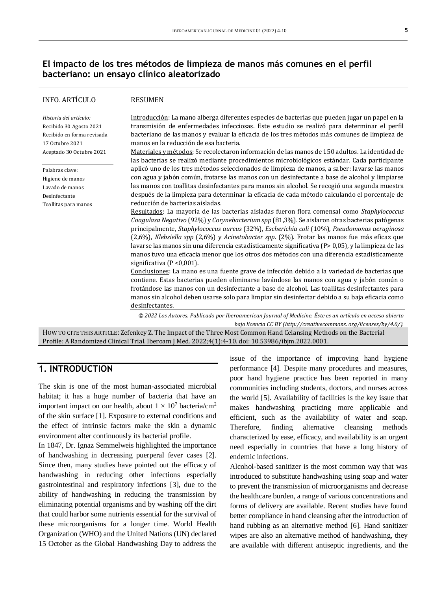### **El impacto de los tres métodos de limpieza de manos más comunes en el perfil bacteriano: un ensayo clínico aleatorizado**

| <b>INFO. ARTÍCULO</b>                                                                                                          | <b>RESUMEN</b>                                                                                                                                                                                                                                                                                                                                                                                                                                                                                                                                                                                                                     |
|--------------------------------------------------------------------------------------------------------------------------------|------------------------------------------------------------------------------------------------------------------------------------------------------------------------------------------------------------------------------------------------------------------------------------------------------------------------------------------------------------------------------------------------------------------------------------------------------------------------------------------------------------------------------------------------------------------------------------------------------------------------------------|
| Historia del artículo:<br>Recibido 30 Agosto 2021<br>Recibido en forma revisada<br>17 Octubre 2021<br>Aceptado 30 Octubre 2021 | Introducción: La mano alberga diferentes especies de bacterias que pueden jugar un papel en la<br>transmisión de enfermedades infecciosas. Este estudio se realizó para determinar el perfil<br>bacteriano de las manos y evaluar la eficacia de los tres métodos más comunes de limpieza de<br>manos en la reducción de esa bacteria.<br>Materiales y métodos: Se recolectaron información de las manos de 150 adultos. La identidad de                                                                                                                                                                                           |
| Palabras clave:<br>Higiene de manos<br>Lavado de manos<br>Desinfectante<br>Toallitas para manos                                | las bacterias se realizó mediante procedimientos microbiológicos estándar. Cada participante<br>aplicó uno de los tres métodos seleccionados de limpieza de manos, a saber: lavarse las manos<br>con agua y jabón común, frotarse las manos con un desinfectante a base de alcohol y limpiarse<br>las manos con toallitas desinfectantes para manos sin alcohol. Se recogió una segunda muestra<br>después de la limpieza para determinar la eficacia de cada método calculando el porcentaje de<br>reducción de bacterias aisladas.                                                                                               |
|                                                                                                                                | Resultados: La mayoría de las bacterias aisladas fueron flora comensal como Staphylococcus<br>Coagulasa Negativo (92%) y Corynebacterium spp (81,3%). Se aislaron otras bacterias patógenas<br>principalmente, Staphylococcus aureus (32%), Escherichia coli (10%), Pseudomonas aeruginosa<br>(2,6%), Klebsiella spp (2,6%) y Acinetobacter spp. (2%). Frotar las manos fue más eficaz que<br>lavarse las manos sin una diferencia estadísticamente significativa (P> 0,05), y la limpieza de las<br>manos tuvo una eficacia menor que los otros dos métodos con una diferencia estadísticamente<br>significativa ( $P < 0.001$ ). |
|                                                                                                                                | Conclusiones: La mano es una fuente grave de infección debido a la variedad de bacterias que<br>contiene. Estas bacterias pueden eliminarse lavándose las manos con agua y jabón común o<br>frotándose las manos con un desinfectante a base de alcohol. Las toallitas desinfectantes para<br>manos sin alcohol deben usarse solo para limpiar sin desinfectar debido a su baja eficacia como<br>desinfectantes.                                                                                                                                                                                                                   |
|                                                                                                                                | © 2022 Los Autores. Publicado por Iberoamerican Journal of Medicine. Éste es un artículo en acceso abierto<br>bajo licencia CC BY (http://creativecommons.org/licenses/by/4.0/).                                                                                                                                                                                                                                                                                                                                                                                                                                                   |
|                                                                                                                                | HOW TO CITE THIS ARTICLE: Zefenkey Z. The Impact of the Three Most Common Hand Celansing Methods on the Bacterial                                                                                                                                                                                                                                                                                                                                                                                                                                                                                                                  |

Profile: A Randomized Clinical Trial. Iberoam J Med. 2022;4(1):4-10. doi[: 10.53986/ibjm.2022.0001.](https://doi.org/10.53986/ibjm.2022.0001)

### **1. INTRODUCTION**

The skin is one of the most human-associated microbial habitat; it has a huge number of bacteria that have an important impact on our health, about  $1 \times 10^7$  bacteria/cm<sup>2</sup> of the skin surface [1]. Exposure to external conditions and the effect of intrinsic factors make the skin a dynamic environment alter continuously its bacterial profile.

In 1847, Dr. Ignaz Semmelweis highlighted the importance of handwashing in decreasing puerperal fever cases [2]. Since then, many studies have pointed out the efficacy of handwashing in reducing other infections especially gastrointestinal and respiratory infections [3], due to the ability of handwashing in reducing the transmission by eliminating potential organisms and by washing off the dirt that could harbor some nutrients essential for the survival of these microorganisms for a longer time. World Health Organization (WHO) and the United Nations (UN) declared 15 October as the Global Handwashing Day to address the

issue of the importance of improving hand hygiene performance [4]. Despite many procedures and measures, poor hand hygiene practice has been reported in many communities including students, doctors, and nurses across the world [5]. Availability of facilities is the key issue that makes handwashing practicing more applicable and efficient, such as the availability of water and soap. Therefore, finding alternative cleansing methods characterized by ease, efficacy, and availability is an urgent need especially in countries that have a long history of endemic infections.

Alcohol-based sanitizer is the most common way that was introduced to substitute handwashing using soap and water to prevent the transmission of microorganisms and decrease the healthcare burden, a range of various concentrations and forms of delivery are available. Recent studies have found better compliance in hand cleansing after the introduction of hand rubbing as an alternative method [6]. Hand sanitizer wipes are also an alternative method of handwashing, they are available with different antiseptic ingredients, and the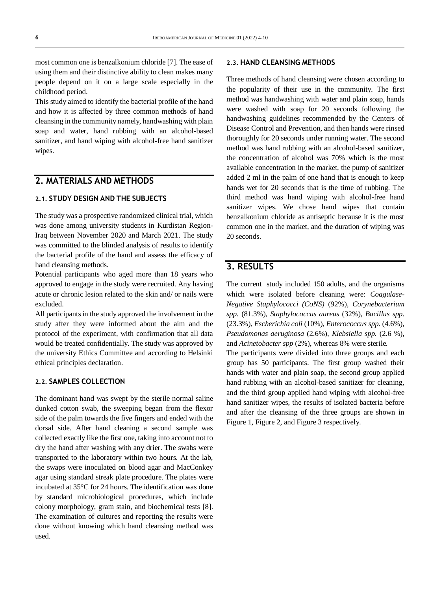most common one is benzalkonium chloride [7]. The ease of using them and their distinctive ability to clean makes many people depend on it on a large scale especially in the childhood period.

This study aimed to identify the bacterial profile of the hand and how it is affected by three common methods of hand cleansing in the community namely, handwashing with plain soap and water, hand rubbing with an alcohol-based sanitizer, and hand wiping with alcohol-free hand sanitizer wipes.

### **2. MATERIALS AND METHODS**

#### **2.1. STUDY DESIGN AND THE SUBJECTS**

The study was a prospective randomized clinical trial, which was done among university students in Kurdistan Region-Iraq between November 2020 and March 2021. The study was committed to the blinded analysis of results to identify the bacterial profile of the hand and assess the efficacy of hand cleansing methods.

Potential participants who aged more than 18 years who approved to engage in the study were recruited. Any having acute or chronic lesion related to the skin and/ or nails were excluded.

All participants in the study approved the involvement in the study after they were informed about the aim and the protocol of the experiment, with confirmation that all data would be treated confidentially. The study was approved by the university Ethics Committee and according to Helsinki ethical principles declaration.

#### **2.2. SAMPLES COLLECTION**

The dominant hand was swept by the sterile normal saline dunked cotton swab, the sweeping began from the flexor side of the palm towards the five fingers and ended with the dorsal side. After hand cleaning a second sample was collected exactly like the first one, taking into account not to dry the hand after washing with any drier. The swabs were transported to the laboratory within two hours. At the lab, the swaps were inoculated on blood agar and MacConkey agar using standard streak plate procedure. The plates were incubated at 35°C for 24 hours. The identification was done by standard microbiological procedures, which include colony morphology, gram stain, and biochemical tests [8]. The examination of cultures and reporting the results were done without knowing which hand cleansing method was used.

#### **2.3. HAND CLEANSING METHODS**

Three methods of hand cleansing were chosen according to the popularity of their use in the community. The first method was handwashing with water and plain soap, hands were washed with soap for 20 seconds following the handwashing guidelines recommended by the Centers of Disease Control and Prevention, and then hands were rinsed thoroughly for 20 seconds under running water. The second method was hand rubbing with an alcohol-based sanitizer, the concentration of alcohol was 70% which is the most available concentration in the market, the pump of sanitizer added 2 ml in the palm of one hand that is enough to keep hands wet for 20 seconds that is the time of rubbing. The third method was hand wiping with alcohol-free hand sanitizer wipes. We chose hand wipes that contain benzalkonium chloride as antiseptic because it is the most common one in the market, and the duration of wiping was 20 seconds.

### **3. RESULTS**

The current study included 150 adults, and the organisms which were isolated before cleaning were: *Coagulase-Negative Staphylococci (CoNS)* (92%), *Corynebacterium spp.* (81.3%), *Staphylococcus aureus* (32%), *Bacillus spp*. (23.3%), *Escherichia coli* (10%), *Enterococcus spp.* (4.6%), *Pseudomonas aeruginosa* (2.6%), *Klebsiella spp.* (2.6 %), and *Acinetobacter spp* (2%), whereas 8% were sterile.

The participants were divided into three groups and each group has 50 participants. The first group washed their hands with water and plain soap, the second group applied hand rubbing with an alcohol-based sanitizer for cleaning, and the third group applied hand wiping with alcohol-free hand sanitizer wipes, the results of isolated bacteria before and after the cleansing of the three groups are shown in Figure 1, Figure 2, and Figure 3 respectively.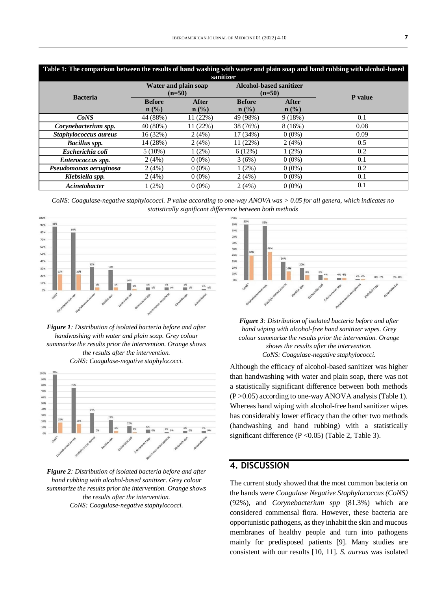| Table 1: The comparison between the results of hand washing with water and plain soap and hand rubbing with alcohol-based<br>sanitizer |                                  |                         |                                            |                      |         |
|----------------------------------------------------------------------------------------------------------------------------------------|----------------------------------|-------------------------|--------------------------------------------|----------------------|---------|
| <b>Bacteria</b>                                                                                                                        | Water and plain soap<br>$(n=50)$ |                         | <b>Alcohol-based sanitizer</b><br>$(n=50)$ |                      | P value |
|                                                                                                                                        | <b>Before</b><br>$n$ (%)         | <b>After</b><br>$n$ (%) | <b>Before</b><br>$n$ (%)                   | <b>After</b><br>n(%) |         |
| CoNS                                                                                                                                   | 44 (88%)                         | 11(22%)                 | 49 (98%)                                   | 9(18%)               | 0.1     |
| Corynebacterium spp.                                                                                                                   | 40 (80%)                         | 11(22%)                 | 38 (76%)                                   | 8(16%)               | 0.08    |
| Staphylococcus aureus                                                                                                                  | 16 (32%)                         | 2(4%)                   | 17 (34%)                                   | $0(0\%)$             | 0.09    |
| <b>Bacillus</b> spp.                                                                                                                   | 14 (28%)                         | 2(4%)                   | 11(22%)                                    | 2(4%)                | 0.5     |
| Escherichia coli                                                                                                                       | $5(10\%)$                        | $1(2\%)$                | 6(12%)                                     | $1(2\%)$             | 0.2     |
| Enterococcus spp.                                                                                                                      | 2(4%)                            | $0(0\%)$                | 3(6%)                                      | $0(0\%)$             | 0.1     |
| Pseudomonas aeruginosa                                                                                                                 | 2(4%)                            | $0(0\%)$                | 1(2%)                                      | $0(0\%)$             | 0.2     |
| Klebsiella spp.                                                                                                                        | 2(4%)                            | $0(0\%)$                | 2(4%)                                      | $0(0\%)$             | 0.1     |
| Acinetobacter                                                                                                                          | $1(2\%)$                         | $0(0\%)$                | 2(4%)                                      | $0(0\%)$             | 0.1     |

*CoNS: Coagulase-negative staphylococci. P value according to one-way ANOVA was > 0.05 for all genera, which indicates no statistically significant difference between both methods*



*Figure 1: Distribution of isolated bacteria before and after handwashing with water and plain soap. Grey colour summarize the results prior the intervention. Orange shows the results after the intervention. CoNS: Coagulase-negative staphylococci.*



*Figure 2: Distribution of isolated bacteria before and after hand rubbing with alcohol-based sanitizer. Grey colour summarize the results prior the intervention. Orange shows the results after the intervention. CoNS: Coagulase-negative staphylococci.*





Although the efficacy of alcohol-based sanitizer was higher than handwashing with water and plain soap, there was not a statistically significant difference between both methods  $(P > 0.05)$  according to one-way ANOVA analysis (Table 1). Whereas hand wiping with alcohol-free hand sanitizer wipes has considerably lower efficacy than the other two methods (handwashing and hand rubbing) with a statistically significant difference ( $P < 0.05$ ) (Table 2, Table 3).

### **4. DISCUSSION**

The current study showed that the most common bacteria on the hands were *Coagulase Negative Staphylococcus (CoNS)* (92%), and *Corynebacterium spp* (81.3%) which are considered commensal flora. However, these bacteria are opportunistic pathogens, as they inhabit the skin and mucous membranes of healthy people and turn into pathogens mainly for predisposed patients [9]. Many studies are consistent with our results [10, 11]. *S. aureus* was isolated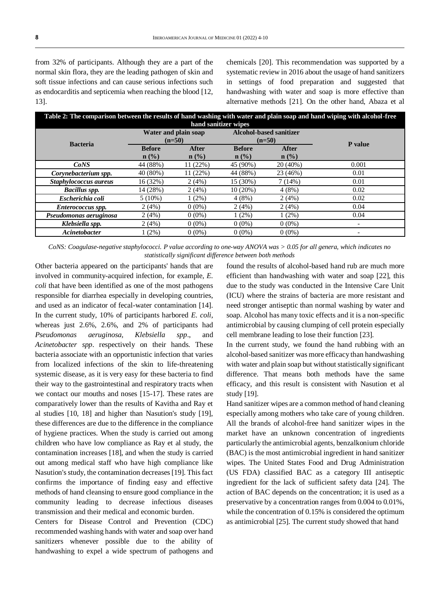from 32% of participants. Although they are a part of the normal skin flora, they are the leading pathogen of skin and soft tissue infections and can cause serious infections such as endocarditis and septicemia when reaching the blood [12, 13].

chemicals [20]. This recommendation was supported by a systematic review in 2016 about the usage of hand sanitizers in settings of food preparation and suggested that handwashing with water and soap is more effective than alternative methods [21]. On the other hand, Abaza et al

| Table 2: The comparison between the results of hand washing with water and plain soap and hand wiping with alcohol-free<br>hand sanitizer wipes |                                  |                         |                                            |                         |                          |
|-------------------------------------------------------------------------------------------------------------------------------------------------|----------------------------------|-------------------------|--------------------------------------------|-------------------------|--------------------------|
| <b>Bacteria</b>                                                                                                                                 | Water and plain soap<br>$(n=50)$ |                         | <b>Alcohol-based sanitizer</b><br>$(n=50)$ |                         | <b>P</b> value           |
|                                                                                                                                                 | <b>Before</b><br>$n$ (%)         | <b>After</b><br>$n$ (%) | <b>Before</b><br>$n$ (%)                   | <b>After</b><br>$n$ (%) |                          |
| CoNS                                                                                                                                            | 44 (88%)                         | 11(22%)                 | 45 (90%)                                   | 20(40%)                 | 0.001                    |
| Corynebacterium spp.                                                                                                                            | 40(80%)                          | 11(22%)                 | 44 (88%)                                   | 23 (46%)                | 0.01                     |
| Staphylococcus aureus                                                                                                                           | 16(32%)                          | 2(4%)                   | 15 (30%)                                   | 7(14%)                  | 0.01                     |
| <b>Bacillus spp.</b>                                                                                                                            | 14 (28%)                         | 2(4%)                   | 10(20%)                                    | 4(8%)                   | 0.02                     |
| Escherichia coli                                                                                                                                | $5(10\%)$                        | $1(2\%)$                | 4(8%)                                      | 2(4%)                   | 0.02                     |
| Enterococcus spp.                                                                                                                               | 2(4%)                            | $0(0\%)$                | 2(4%)                                      | 2(4%)                   | 0.04                     |
| Pseudomonas aeruginosa                                                                                                                          | 2(4%)                            | $0(0\%)$                | $1(2\%)$                                   | $1(2\%)$                | 0.04                     |
| Klebsiella spp.                                                                                                                                 | 2(4%)                            | $0(0\%)$                | $0(0\%)$                                   | $0(0\%)$                | $\overline{\phantom{a}}$ |
| Acinetobacter                                                                                                                                   | $1(2\%)$                         | $0(0\%)$                | $0(0\%)$                                   | $0(0\%)$                |                          |

*CoNS: Coagulase-negative staphylococci. P value according to one-way ANOVA was > 0.05 for all genera, which indicates no statistically significant difference between both methods*

Other bacteria appeared on the participants' hands that are involved in community-acquired infection, for example, *E. coli* that have been identified as one of the most pathogens responsible for diarrhea especially in developing countries, and used as an indicator of fecal-water contamination [14]. In the current study, 10% of participants harbored *E. coli*, whereas just 2.6%, 2.6%, and 2% of participants had *Pseudomonas aeruginosa, Klebsiella spp*., and *Acinetobacter spp*. respectively on their hands. These bacteria associate with an opportunistic infection that varies from localized infections of the skin to life-threatening systemic disease, as it is very easy for these bacteria to find their way to the gastrointestinal and respiratory tracts when we contact our mouths and noses [15-17]. These rates are comparatively lower than the results of Kavitha and Ray et al studies [10, 18] and higher than Nasution's study [19], these differences are due to the difference in the compliance of hygiene practices. When the study is carried out among children who have low compliance as Ray et al study, the contamination increases [18], and when the study is carried out among medical staff who have high compliance like Nasution's study, the contamination decreases [19]. This fact confirms the importance of finding easy and effective methods of hand cleansing to ensure good compliance in the community leading to decrease infectious diseases transmission and their medical and economic burden.

Centers for Disease Control and Prevention (CDC) recommended washing hands with water and soap over hand sanitizers whenever possible due to the ability of handwashing to expel a wide spectrum of pathogens and

found the results of alcohol-based hand rub are much more efficient than handwashing with water and soap [22], this due to the study was conducted in the Intensive Care Unit (ICU) where the strains of bacteria are more resistant and need stronger antiseptic than normal washing by water and soap. Alcohol has many toxic effects and it is a non-specific antimicrobial by causing clumping of cell protein especially cell membrane leading to lose their function [23].

In the current study, we found the hand rubbing with an alcohol-based sanitizer was more efficacy than handwashing with water and plain soap but without statistically significant difference. That means both methods have the same efficacy, and this result is consistent with Nasution et al study [19].

Hand sanitizer wipes are a common method of hand cleaning especially among mothers who take care of young children. All the brands of alcohol-free hand sanitizer wipes in the market have an unknown concentration of ingredients particularly the antimicrobial agents, benzalkonium chloride (BAC) is the most antimicrobial ingredient in hand sanitizer wipes. The United States Food and Drug Administration (US FDA) classified BAC as a category III antiseptic ingredient for the lack of sufficient safety data [24]. The action of BAC depends on the concentration; it is used as a preservative by a concentration ranges from 0.004 to 0.01%, while the concentration of 0.15% is considered the optimum as antimicrobial [25]. The current study showed that hand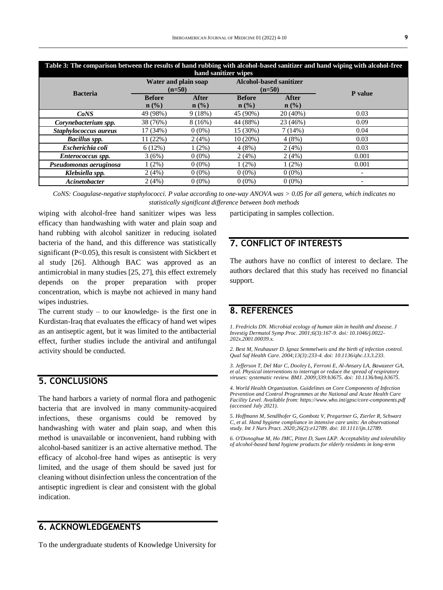| Table 3: The comparison between the results of hand rubbing with alcohol-based sanitizer and hand wiping with alcohol-free<br>hand sanitizer wipes |                                  |                         |                                            |                      |         |
|----------------------------------------------------------------------------------------------------------------------------------------------------|----------------------------------|-------------------------|--------------------------------------------|----------------------|---------|
| <b>Bacteria</b>                                                                                                                                    | Water and plain soap<br>$(n=50)$ |                         | <b>Alcohol-based sanitizer</b><br>$(n=50)$ |                      |         |
|                                                                                                                                                    | <b>Before</b><br>$n$ (%)         | <b>After</b><br>$n$ (%) | <b>Before</b><br>$n$ (%)                   | <b>After</b><br>n(%) | P value |
| CoNS                                                                                                                                               | 49 (98%)                         | 9(18%)                  | 45 (90%)                                   | 20 (40%)             | 0.03    |
| Corynebacterium spp.                                                                                                                               | 38 (76%)                         | 8(16%)                  | 44 (88%)                                   | 23 (46%)             | 0.09    |
| Staphylococcus aureus                                                                                                                              | 17 (34%)                         | $0(0\%)$                | 15 (30%)                                   | 7(14%)               | 0.04    |
| <b>Bacillus spp.</b>                                                                                                                               | 11 (22%)                         | 2(4%)                   | 10(20%)                                    | 4(8%)                | 0.03    |
| Escherichia coli                                                                                                                                   | 6(12%)                           | $1(2\%)$                | 4(8%)                                      | 2(4%)                | 0.03    |
| Enterococcus spp.                                                                                                                                  | 3(6%)                            | $0(0\%)$                | 2(4%)                                      | 2(4%)                | 0.001   |
| Pseudomonas aeruginosa                                                                                                                             | $1(2\%)$                         | $0(0\%)$                | $1(2\%)$                                   | $1(2\%)$             | 0.001   |
| Klebsiella spp.                                                                                                                                    | 2(4%)                            | $0(0\%)$                | $0(0\%)$                                   | $0(0\%)$             |         |
| Acinetobacter                                                                                                                                      | 2(4%)                            | $0(0\%)$                | $0(0\%)$                                   | $0(0\%)$             |         |

*CoNS: Coagulase-negative staphylococci. P value according to one-way ANOVA was > 0.05 for all genera, which indicates no statistically significant difference between both methods*

wiping with alcohol-free hand sanitizer wipes was less efficacy than handwashing with water and plain soap and hand rubbing with alcohol sanitizer in reducing isolated bacteria of the hand, and this difference was statistically significant (P<0.05), this result is consistent with Sickbert et al study [26]. Although BAC was approved as an antimicrobial in many studies [25, 27], this effect extremely depends on the proper preparation with proper concentration, which is maybe not achieved in many hand wipes industries.

The current study  $-$  to our knowledge- is the first one in Kurdistan-Iraq that evaluates the efficacy of hand wet wipes as an antiseptic agent, but it was limited to the antibacterial effect, further studies include the antiviral and antifungal activity should be conducted.

### **5. CONCLUSIONS**

The hand harbors a variety of normal flora and pathogenic bacteria that are involved in many community-acquired infections, these organisms could be removed by handwashing with water and plain soap, and when this method is unavailable or inconvenient, hand rubbing with alcohol-based sanitizer is an active alternative method. The efficacy of alcohol-free hand wipes as antiseptic is very limited, and the usage of them should be saved just for cleaning without disinfection unless the concentration of the antiseptic ingredient is clear and consistent with the global indication.

## **6. ACKNOWLEDGEMENTS**

To the undergraduate students of Knowledge University for

participating in samples collection.

### **7. CONFLICT OF INTERESTS**

The authors have no conflict of interest to declare. The authors declared that this study has received no financial support.

### **8. REFERENCES**

*1. Fredricks DN. Microbial ecology of human skin in health and disease. J Investig Dermatol Symp Proc. 2001;6(3):167-9. doi[: 10.1046/j.0022-](https://doi.org/10.1046/j.0022-202x.2001.00039.x) [202x.2001.00039.x.](https://doi.org/10.1046/j.0022-202x.2001.00039.x)*

*2. Best M, Neuhauser D. Ignaz Semmelweis and the birth of infection control. Qual Saf Health Care. 2004;13(3):233-4. doi[: 10.1136/qhc.13.3.233.](https://doi.org/10.1136/qhc.13.3.233)*

*3. Jefferson T, Del Mar C, Dooley L, Ferroni E, Al-Ansary LA, Bawazeer GA, et al. Physical interventions to interrupt or reduce the spread of respiratory viruses: systematic review. BMJ. 2009;339:b3675. doi[: 10.1136/bmj.b3675.](https://doi.org/10.1136/bmj.b3675)*

*4. World Health Organization. Guidelines on Core Components of Infection Prevention and Control Programmes at the National and Acute Health Care Facility Level. Available from[: https://www.who.int/gpsc/core-components.pdf](https://www.who.int/gpsc/core-components.pdf) (accessed July 2021).*

*5. Hoffmann M, Sendlhofer G, Gombotz V, Pregartner G, Zierler R, Schwarz C, et al. Hand hygiene compliance in intensive care units: An observational study. Int J Nurs Pract. 2020;26(2):e12789. doi[: 10.1111/ijn.12789.](https://doi.org/10.1111/ijn.12789)*

*6. O'Donoghue M, Ho JMC, Pittet D, Suen LKP. Acceptability and tolerability of alcohol-based hand hygiene products for elderly residents in long-term*